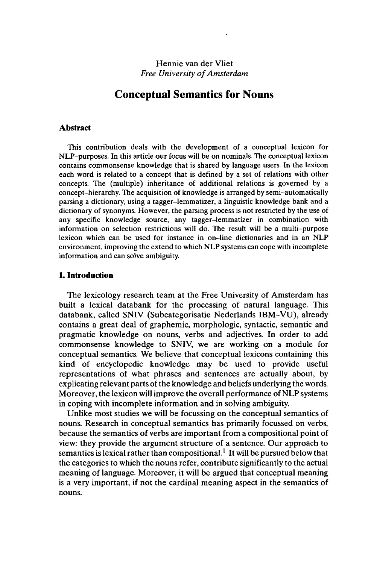## Hennie van der Vliet *Free University of Amsterdam*

# **Conceptual Semantics for Nouns**

### **Abstract**

This contribution deals with the development of a conceptual lexicon for NLP-purposes. In this article our focus will be on nominals. The conceptual lexicon contains commonsense knowledge that is shared by language users. In the lexicon each word is related to a concept that is defined by a set of relations with other concepts. The (multiple) inheritance of additional relations is governed by a concept-hierarchy. The acquisition of knowledge is arranged by semi-automatically parsing a dictionary, using a tagger-lemmatizer, a linguistic knowledge bank and a dictionary of synonyms. However, the parsing process is not restricted by the use of any specific knowledge source, any tagger-lemmatizer in combination with information on selection restrictions will do. The result will be a multi-purpose lexicon which can be used for instance in on-line dictionaries and in an NLP environment, improving the extend to which NLP systems can cope with incomplete information and can solve ambiguity.

## **1. Introduction**

The lexicology research team at the Free University of Amsterdam has built a lexical databank for the processing of natural language. This databank, called SNIV (Subcategorisatie Nederlands IBM-VU), already contains a great deal of graphemic, morphologic, syntactic, semantic and pragmatic knowledge on nouns, verbs and adjectives. In order to add commonsense knowledge to SNIV, we are working on a module for conceptual semantics. We believe that conceptual lexicons containing this kind of encyclopedic knowledge may be used to provide useful representations of what phrases and sentences are actually about, by explicating relevant parts of the knowledge and beliefs underlying the words. Moreover, the lexicon will improve the overall performance of NLP systems in coping with incomplete information and in solving ambiguity.

Unlike most studies we will be focussing on the conceptual semantics of nouns. Research in conceptual semantics has primarily focussed on verbs, because the semantics of verbs are important from a compositional point of view: they provide the argument structure of a sentence. Our approach to semantics is lexical rather than compositional.<sup>1</sup> It will be pursued below that the categories to which the nouns refer, contribute significantly to the actual meaning of language. Moreover, it will be argued that conceptual meaning is a very important, if not the cardinal meaning aspect in the semantics of nouns.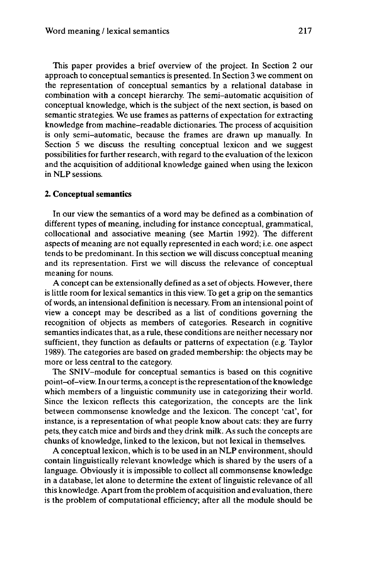This paper provides a brief overview of the project. In Section 2 our approach to conceptual semantics is presented. In Section 3 we comment on the representation of conceptual semantics by a relational database in combination with a concept hierarchy. The semi-automatic acquisition of conceptual knowledge, which is the subject of the next section, is based on semantic strategies. We use frames as patterns of expectation for extracting knowledge from machine-readable dictionaries. The process of acquisition is only semi-automatic, because the frames are drawn up manually. In Section 5 we discuss the resulting conceptual lexicon and we suggest possibilities for further research, with regard to the evaluation of the lexicon and the acquisition of additional knowledge gained when using the lexicon in NLP sessions.

### **2. Conceptual semantics**

In our view the semantics of a word may be defined as a combination of different types of meaning, including for instance conceptual, grammatical, collocational and associative meaning (see Martin 1992). The different aspects of meaning are not equally represented in each word; i.e. one aspect tends to be predominant. In this section we will discuss conceptual meaning and its representation. First we will discuss the relevance of conceptual meaning for nouns.

A concept can be extensionally defined as a set of objects. However, there is little room for lexical semantics in this view. To get a grip on the semantics of words, an intensional definition is necessary. From an intensional point of view a concept may be described as a list of conditions governing the recognition of objects as members of categories. Research in cognitive semantics indicates that, as a rule, these conditions are neither necessary nor sufficient, they function as defaults or patterns of expectation (e.g. Taylor 1989). The categories are based on graded membership: the objects may be more or less central to the category.

The SNIV-module for conceptual semantics is based on this cognitive point-of-view. In our terms, a concept is the representation of the knowledge which members of a linguistic community use in categorizing their world. Since the lexicon reflects this categorization, the concepts are the link between commonsense knowledge and the lexicon. The concept 'cat', for instance, is a representation of what people know about cats: they are furry pets, they catch mice and birds and they drink milk. As such the concepts are chunks of knowledge, linked to the lexicon, but not lexical in themselves.

A conceptual lexicon, which is to be used in an NLP environment, should contain linguistically relevant knowledge which is shared by the users of a language. Obviously it is impossible to collect all commonsense knowledge in a database, let alone to determine the extent of linguistic relevance of all this knowledge. Apart from the problem of acquisition and evaluation, there is the problem of computational efficiency; after all the module should be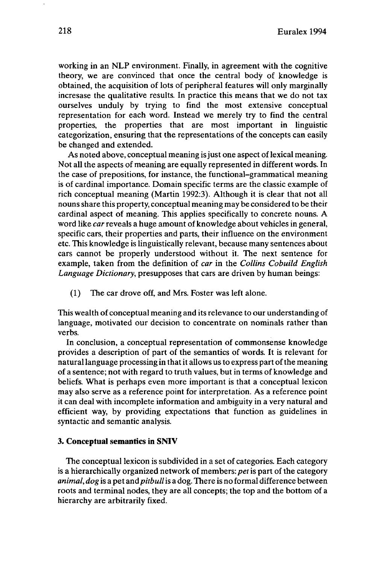working in an NLP environment. Finally, in agreement with the cognitive theory, we are convinced that once the central body of knowledge is obtained, the acquisition of lots of peripheral features will only marginally incresase the qualitative results. In practice this means that we do not tax ourselves unduly by trying to find the most extensive conceptual representation for each word. Instead we merely try to find the central properties, the properties that are most important in linguistic categorization, ensuring that the representations of the concepts can easily be changed and extended.

As noted above, conceptual meaning is just one aspect of lexical meaning. Not all the aspects of meaning are equally represented in different words. In the case of prepositions, for instance, the functional-grammatical meaning is of cardinal importance. Domain specific terms are the classic example of rich conceptual meaning (Martin 1992:3). Although it is clear that not all nounsshare this property, conceptual meaning may be considered to be their cardinal aspect of meaning. This applies specifically to concrete nouns. A word like *car* reveals a huge amount of knowledge about vehicles in general, specific cars, their properties and parts, their influence on the environment etc. This knowledge is linguistically relevant, because many sentences about cars cannot be properly understood without it. The next sentence for example, taken from the definition of *car* in the *Collins Cobuild English Language Dictionary,* presupposes that cars are driven by human beings:

(1) The car drove off, and Mrs. Foster was left alone.

This wealth of conceptual meaning and itsrelevance to our understanding of language, motivated our decision to concentrate on nominals rather than verbs.

In conclusion, a conceptual representation of commonsense knowledge provides a description of part of the semantics of words. It is relevant for natural language processing in that it allows us to express part of the meaning of a sentence; not with regard to truth values, but in terms of knowledge and beliefs. What is perhaps even more important is that a conceptual lexicon may also serve as a reference point for interpretation. As a reference point it can deal with incomplete information and ambiguity in a very natural and efficient way, by providing expectations that function as guidelines in syntactic and semantic analysis.

## **3. Conceptual semantics in SNIV**

The conceptual lexicon is subdivided in a set of categories. Each category is a hierarchically organized network of members: *pet*is part of the category *animal, dog* is a pet and*pitbull*is a dog. There is no formal difference between roots and terminal nodes, they are all concepts; the top and the bottom of a hierarchy are arbitrarily fixed.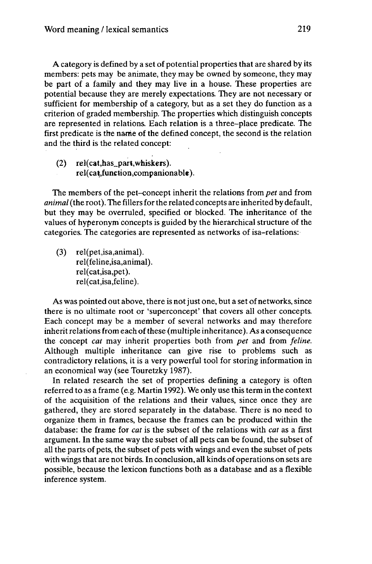A category is defined by a set of potential properties that are shared by its members: pets may be animate, they may be owned by someone, they may be part of a family and they may live in a house. These properties are potential because they are merely expectations. They are not necessary or sufficient for membership of a category, but as a set they do function as a criterion of graded membership. The properties which distinguish concepts are represented in relations. Each relation is a three-place predicate. The first predicate is the name of the defined concept, the second is the relation and the third is the related concept:

(2) rel(cat,has\_part,whiskers). rel(cat,function,companionable).

The members of the pet-concept inherit the relations from *pet* and from *animal* (the root). The fillers for the related concepts are inherited by default, but they may be overruled, specified or blocked. The inheritance of the values of hyperonym concepts is guided by the hierarchical structure of the categories. The categories are represented as networks of isa-relations:

(3) rel(pet,isa,animal). rel(feline,isa,animal). rel(cat,isa,pet). rel(cat,isa,feline).

As was pointed out above, there is not just one, but a set of networks, since there is no ultimate root or 'superconcept' that covers all other concepts. Each concept may be a member of several networks and may therefore inherit relations from each of these (multiple inheritance). As a consequence the concept *cat* may inherit properties both from *pet* and from *feline.* Although multiple inheritance can give rise to problems such as contradictory relations, it is a very powerful tool for storing information in an economical way (see Touretzky 1987).

In related research the set of properties defining a category is often referred to as a frame (e.g. Martin 1992). We only use this term in the context of the acquisition of the relations and their values, since once they are gathered, they are stored separately in the database. There is no need to organize them in frames, because the frames can be produced within the database: the frame for *cat* is the subset of the relations with *cat* as a first argument. In the same way the subset of all pets can be found, the subset of all the parts of pets, the subset of pets with wings and even the subset of pets with wings that are not birds. In conclusion, all kinds of operations on sets are possible, because the lexicon functions both as a database and as a flexible inference system.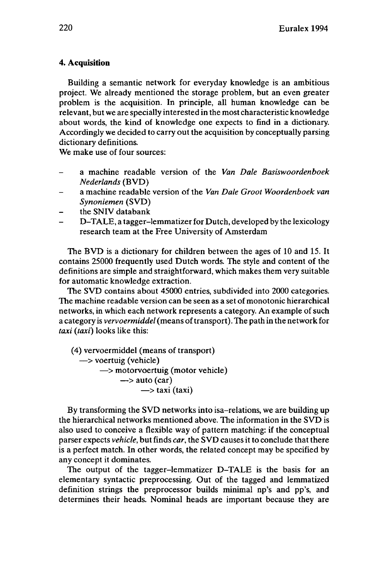## **4. Acquisition**

Building a semantic network for everyday knowledge is an ambitious project. We already mentioned the storage problem, but an even greater problem is the acquisition. In principle, all human knowledge can be relevant, but we are specially interested in the most characteristic knowledge about words, the kind of knowledge one expects to find in a dictionary. Accordingly we decided to carry out the acquisition by conceptually parsing dictionary definitions.

We make use of four sources:

- <sup>a</sup> machine readable version of the *Van Dale Basiswoordenboek Nederlands* (BVD)
- a machine readable version of the *Van Dale Groot Woordenboek van Synoniemen* (SVD)
- the SNIV databank
- D-TALE, a tagger-lemmatizer for Dutch, developed by the lexicology research team at the Free University of Amsterdam

The BVD is a dictionary for children between the ages of 10 and 15. It contains 25000 frequently used Dutch words. The style and content of the definitions are simple and straightforward, which makes them very suitable for automatic knowledge extraction.

The SVD contains about 45000 entries, subdivided into 2000 categories. The machine readable version can be seen as a set of monotonie hierarchical networks, in which each network represents a category. An example of such a category is *vervoermiddel*(means oftransport). The path in the network for *taxi (taxi)* looks like this:

(4) vervoermiddel (means of transport) •> voertuig (vehicle)  $\rightarrow$  motorvoertuig (motor vehicle)  $\rightarrow$  auto (car)  $\rightarrow$  taxi (taxi)

By transforming the SVD networks into isa-relations, we are building up the hierarchical networks mentioned above. The information in the SVD is also used to conceive a flexible way of pattern matching: if the conceptual parser expects *vehicle*, but finds *car*, the SVD causes it to conclude that there is a perfect match. In other words, the related concept may be specified by any concept it dominates.

The output of the tagger-lemmatizer D-TALE is the basis for an elementary syntactic preprocessing. Out of the tagged and lemmatized definition strings the preprocessor builds minimal np's and pp's, and determines their heads. Nominal heads are important because they are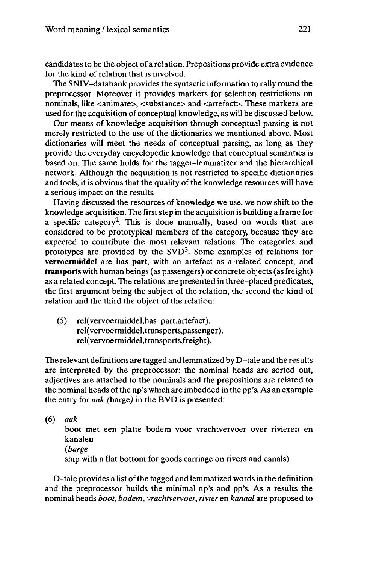candidates to be the object of a relation. Prepositions provide extra evidence for the kind of relation that is involved.

The SNIV-databank provides the syntactic information to rally round the preprocessor. Moreover it provides markers for selection restrictions on nominals, like <animate>, <substance> and <artefact>. These markers are used for the acquisition of conceptual knowledge, as will be discussed below.

Our means of knowledge acquisition through conceptual parsing is not merely restricted to the use of the dictionaries we mentioned above. Most dictionaries will meet the needs of conceptual parsing, as long as they provide the everyday encyclopedic knowledge that conceptual semantics is based on. The same holds for the tagger-lemmatizer and the hierarchical network. Although the acquisition is not restricted to specific dictionaries and tools, it is obvious that the quality of the knowledge resources will have a serious impact on the results.

Having discussed the resources of knowledge we use, we now shift to the knowledge acquisition. The first step in the acquisition is building a frame for <sup>a</sup> specific category<sup>2</sup> . This is done manually, based on words that are considered to be prototypical members of the category, because they are expected to contribute the most relevant relations. The categories and prototypes are provided by the SVD<sup>3</sup>. Some examples of relations for **vervoermiddel** are **has\_part,** with an artefact as a related concept, and **transports** with human beings (as passengers) or concrete objects (asfreight) as a related concept. The relations are presented in three-placed predicates, the first argument being the subject of the relation, the second the kind of relation and the third the object of the relation:

(5) rel(vervoermiddel,has\_part,artefact). rel(vervoermiddel,transports,passenger). rel(vervoermiddel,transports,freight).

The relevant definitions are tagged and lemmatized by D-tale and the results are interpreted by the preprocessor: the nominal heads are sorted out, adjectives are attached to the nominals and the prepositions are related to the nominal heads ofthe np's which are imbedded in the pp's. As an example the entry for *aak* (barge) in the BVD is presented:

(6) *aak*

boot met een platte bodem voor vrachtvervoer over rivieren en kanalen *(barge* ship with a flat bottom for goods carriage on rivers and canals)

D-tale provides a list ofthe tagged and lemmatized wordsin the definition and the preprocessor builds the minimal np's and pp's. As a results the nominal heads *boot, bodem, vrachtvervoer, rivier* en *kanaal* are proposed to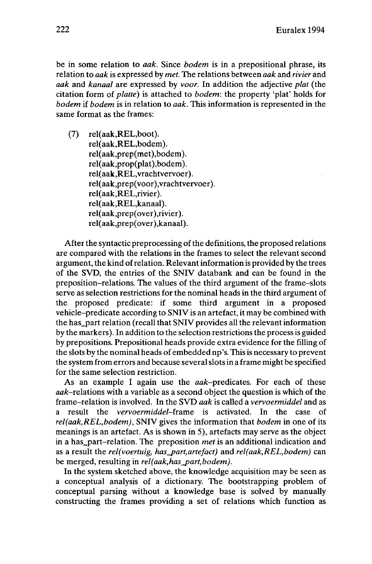be in some relation to *aak.* Since *bodem* is in a prepositional phrase, its relation to *aak* is expressed by *met.* The relations between *aak* and *rivier* and *aak* and *kanaal* are expressed by *voor.* In addition the adjective *plat* (the citation form of *platte)* is attached to *bodem:* the property 'plat' holds for *bodem* if *bodem* is in relation to *aak.* This information is represented in the same format as the frames:

(7) rel(aak,REL,boot). rel(aak,REL,bodem). rel(aak,prep(met),bodem). rel(aak,prop(plat),bodem). rel(aak,REL,vrachtvervoer). rel(aak,prep(voor),vrachtvervoer). rel(aak,REL,rivier). rel(aak,REL,kanaal). rel(aak,prep(over),rivier). rel(aak,prep(over),kanaal).

After the syntactic preprocessing of the definitions, the proposed relations are compared with the relations in the frames to select the relevant second argument, the kind ofrelation. Relevantinformation is provided by the trees of the SVD, the entries of the SNIV databank and can be found in the preposition-relations. The values of the third argument of the frame-slots serve as selection restrictions for the nominal heads in the third argument of the proposed predicate: if some third argument in a proposed vehicle-predicate according to SNIV is an artefact, it may be combined with the has\_part relation (recall that SNIV provides all the relevant information by the markers). In addition to the selection restrictionsthe processis guided by prepositions. Prepositional heads provide extra evidence for the filling of the slots by the nominal heads of embedded np's. This is necessary to prevent the system from errors and because severalslotsin a frame might be specified for the same selection restriction.

As an example I again use the *aak*-predicates. For each of these  $aak$ -relations with a variable as a second object the question is which of the frame-relation is involved. In the SVD *aak* is called a *vervoermiddel* and as a result the *vervoermiddel-frame* is activated. In the case of *rel(aak,REL,bodem),* SNIV gives the information that *bodem* in one of its meanings is an artefact. As is shown in 5), artefacts may serve as the object in a has\_part-relation. The preposition *met* is an additional indication and as a result the *rel(voertuig, has\_part,artefact)* and *rel(aak,REL,bodem)* can be merged, resulting in *rel(aak,has\_part,bodem).*

In the system sketched above, the knowledge acquisition may be seen as a conceptual analysis of a dictionary. The bootstrapping problem of conceptual parsing without a knowledge base is solved by manually constructing the frames providing a set of relations which function as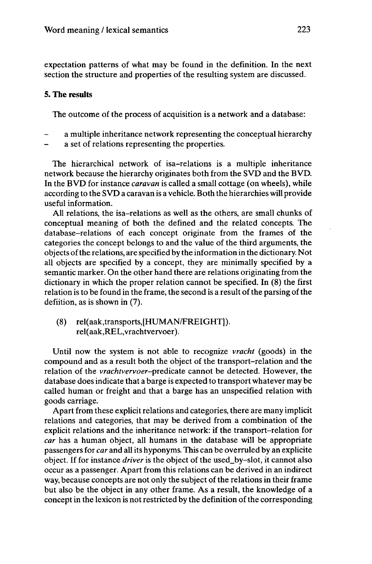expectation patterns of what may be found in the definition. In the next section the structure and properties of the resulting system are discussed.

## **5. The results**

The outcome of the process of acquisition is a network and a database:

- a multiple inheritance network representing the conceptual hierarchy
- a set of relations representing the properties.

The hierarchical network of isa-relations is a multiple inheritance network because the hierarchy originates both from the SVD and the BVD. In the BVD for instance *caravan* is called a small cottage (on wheels), while according to the SVD a caravan is a vehicle. Both the hierarchies will provide useful information.

All relations, the isa-relations as well as the others, are small chunks of conceptual meaning of both the defined and the related concepts. The database-relations of each concept originate from the frames of the categories the concept belongs to and the value of the third arguments, the objects ofthe relations, are specified by the information in the dictionary. Not all objects are specified by a concept, they are minimally specified by a semantic marker. On the other hand there are relations originating from the dictionary in which the proper relation cannot be specified. In (8) the first relation is to be found in the frame, the second is a result of the parsing of the defiition, as is shown in (7).

(8) rel(aak,transports,{HUMAN/FREIGHT]). rel(aak,REL,vrachtvervoer).

Until now the system is not able to recognize *vracht* (goods) in the compound and as a result both the object of the transport-relation and the relation of the *vrachtvervoer-predicate* cannot be detected. However, the database does indicate that a barge is expected to transport whatever may be called human or freight and that a barge has an unspecified relation with goods carriage.

Apart from these explicit relations and categories, there are many implicit relations and categories, that may be derived from a combination of the explicit relations and the inheritance network: if the transport-relation for *car* has a human object, all humans in the database will be appropriate passengers for *car* and all its hyponyms. This can be overruled by an explicite object. If for instance *driver* is the object of the used\_by-slot, it cannot also occur as a passenger. Apart from this relations can be derived in an indirect way, because concepts are not only the subject of the relations in their frame but also be the object in any other frame. As a result, the knowledge of a concept in the lexicon is not restricted by the definition of the corresponding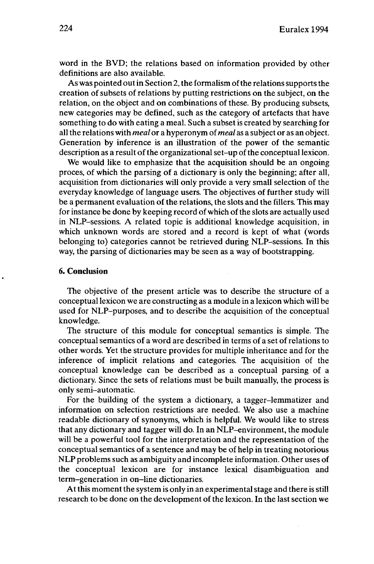word in the BVD; the relations based on information provided by other definitions are also available.

As was pointed out in Section 2, the formalism of the relations supports the creation of subsets of relations by putting restrictions on the subject, on the relation, on the object and on combinations of these. By producing subsets, new categories may be defined, such as the category of artefacts that have something to do with eating a meal. Such a subset is created by searching for allthe relations with *meal* or a hyperonym of*meal* as a subject or as an object. Generation by inference is an illustration of the power of the semantic description as a result of the organizational set-up of the conceptual lexicon.

We would like to emphasize that the acquisition should be an ongoing proces, of which the parsing of a dictionary is only the beginning; after all, acquisition from dictionaries will only provide a very small selection of the everyday knowledge of language users. The objectives of further study will be a permanent evaluation of the relations, the slots and the fillers. This may for instance be done by keeping record of which of the slots are actually used in NLP-sessions. A related topic is additional knowledge acquisition, in which unknown words are stored and a record is kept of what (words belonging to) categories cannot be retrieved during NLP-sessions. In this way, the parsing of dictionaries may be seen as a way of bootstrapping.

## **6. Conclusion**

The objective of the present article was to describe the structure of a conceptuallexicon we are constructing as a module in a lexicon which will be used for NLP-purposes, and to describe the acquisition of the conceptual knowledge.

The structure of this module for conceptual semantics is simple. The conceptual semantics of a word are described in terms of a set ofrelations to other words. Yet the structure provides for multiple inheritance and for the inference of implicit relations and categories. The acquisition of the conceptual knowledge can be described as a conceptual parsing of a dictionary. Since the sets of relations must be built manually, the process is only semi-automatic.

For the building of the system a dictionary, a tagger-lemmatizer and information on selection restrictions are needed. We also use a machine readable dictionary of synonyms, which is helpful. We would like to stress that any dictionary and tagger will do. In an NLP-environment, the module will be a powerful tool for the interpretation and the representation of the conceptual semantics of a sentence and may be of help in treating notorious NLP problems such as ambiguity and incomplete information. Other uses of the conceptual lexicon are for instance lexical disambiguation and term-generation in on-line dictionaries.

At this moment the system is only in an experimental stage and there is still research to be done on the development of the lexicon. In the last section we